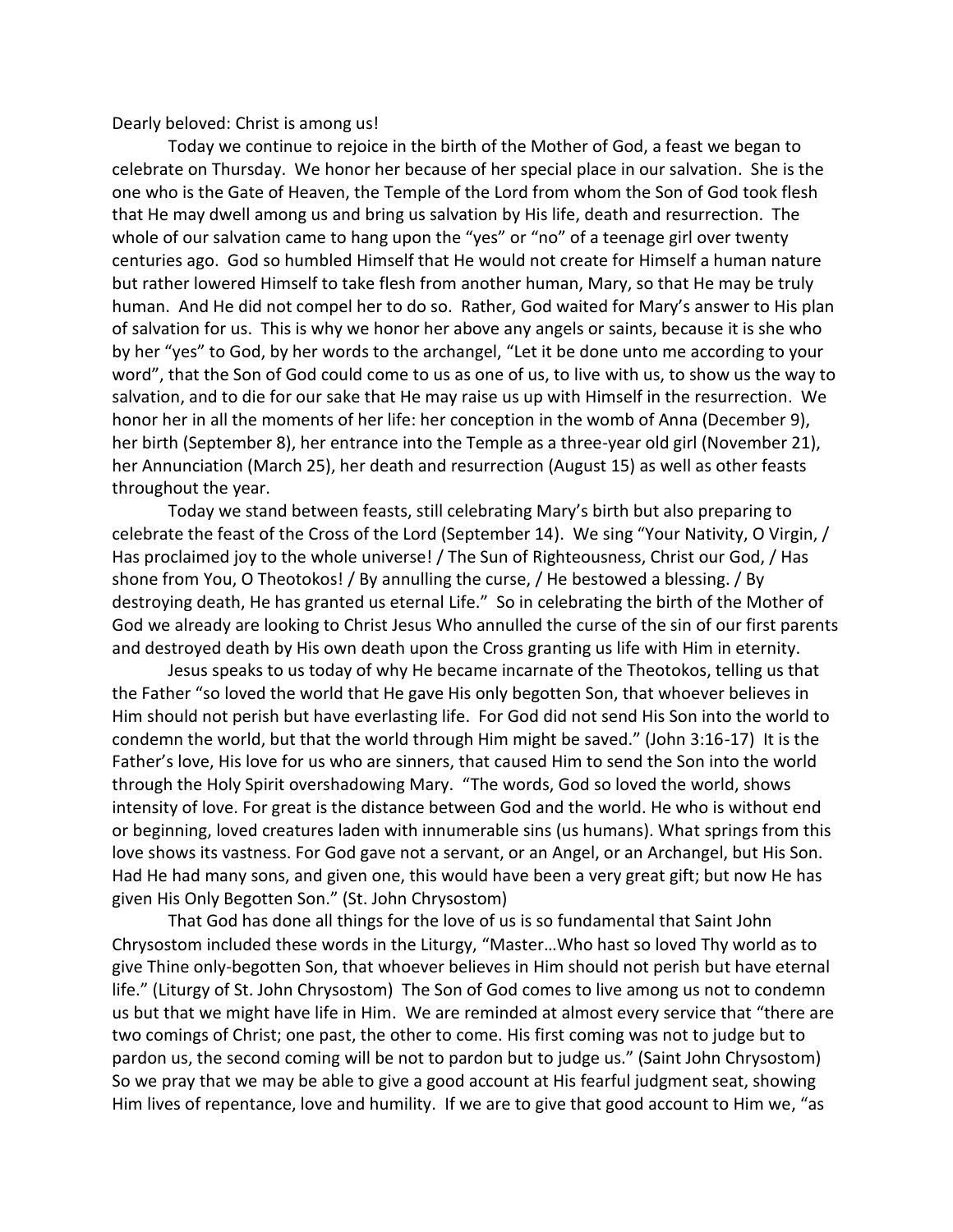Dearly beloved: Christ is among us!

Today we continue to rejoice in the birth of the Mother of God, a feast we began to celebrate on Thursday. We honor her because of her special place in our salvation. She is the one who is the Gate of Heaven, the Temple of the Lord from whom the Son of God took flesh that He may dwell among us and bring us salvation by His life, death and resurrection. The whole of our salvation came to hang upon the "yes" or "no" of a teenage girl over twenty centuries ago. God so humbled Himself that He would not create for Himself a human nature but rather lowered Himself to take flesh from another human, Mary, so that He may be truly human. And He did not compel her to do so. Rather, God waited for Mary's answer to His plan of salvation for us. This is why we honor her above any angels or saints, because it is she who by her "yes" to God, by her words to the archangel, "Let it be done unto me according to your word", that the Son of God could come to us as one of us, to live with us, to show us the way to salvation, and to die for our sake that He may raise us up with Himself in the resurrection. We honor her in all the moments of her life: her conception in the womb of Anna (December 9), her birth (September 8), her entrance into the Temple as a three-year old girl (November 21), her Annunciation (March 25), her death and resurrection (August 15) as well as other feasts throughout the year.

Today we stand between feasts, still celebrating Mary's birth but also preparing to celebrate the feast of the Cross of the Lord (September 14). We sing "Your Nativity, O Virgin, / Has proclaimed joy to the whole universe! / The Sun of Righteousness, Christ our God, / Has shone from You, O Theotokos! / By annulling the curse, / He bestowed a blessing. / By destroying death, He has granted us eternal Life." So in celebrating the birth of the Mother of God we already are looking to Christ Jesus Who annulled the curse of the sin of our first parents and destroyed death by His own death upon the Cross granting us life with Him in eternity.

Jesus speaks to us today of why He became incarnate of the Theotokos, telling us that the Father "so loved the world that He gave His only begotten Son, that whoever believes in Him should not perish but have everlasting life. For God did not send His Son into the world to condemn the world, but that the world through Him might be saved." (John 3:16-17) It is the Father's love, His love for us who are sinners, that caused Him to send the Son into the world through the Holy Spirit overshadowing Mary. "The words, God so loved the world, shows intensity of love. For great is the distance between God and the world. He who is without end or beginning, loved creatures laden with innumerable sins (us humans). What springs from this love shows its vastness. For God gave not a servant, or an Angel, or an Archangel, but His Son. Had He had many sons, and given one, this would have been a very great gift; but now He has given His Only Begotten Son." (St. John Chrysostom)

That God has done all things for the love of us is so fundamental that Saint John Chrysostom included these words in the Liturgy, "Master…Who hast so loved Thy world as to give Thine only-begotten Son, that whoever believes in Him should not perish but have eternal life." (Liturgy of St. John Chrysostom) The Son of God comes to live among us not to condemn us but that we might have life in Him. We are reminded at almost every service that "there are two comings of Christ; one past, the other to come. His first coming was not to judge but to pardon us, the second coming will be not to pardon but to judge us." (Saint John Chrysostom) So we pray that we may be able to give a good account at His fearful judgment seat, showing Him lives of repentance, love and humility. If we are to give that good account to Him we, "as